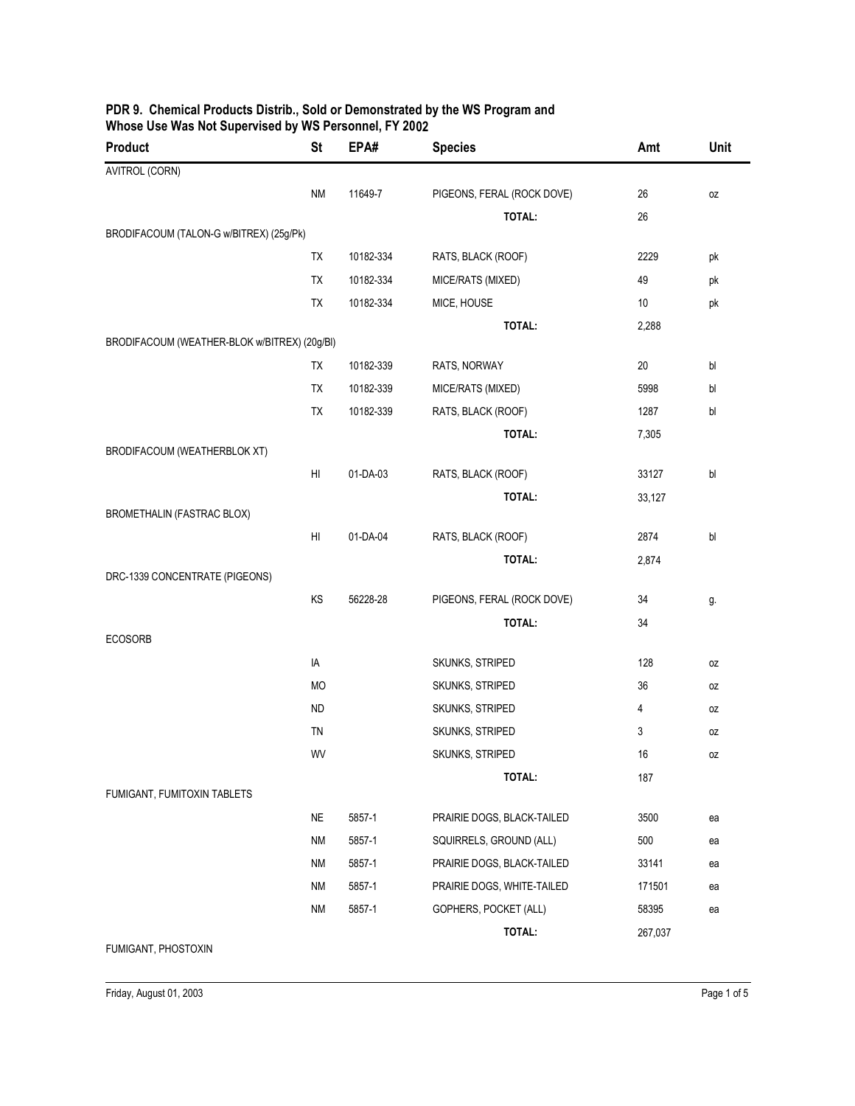| Product                                      | <b>St</b> | EPA#      | <b>Species</b>             | Amt     | Unit |
|----------------------------------------------|-----------|-----------|----------------------------|---------|------|
| AVITROL (CORN)                               |           |           |                            |         |      |
|                                              | <b>NM</b> | 11649-7   | PIGEONS, FERAL (ROCK DOVE) | 26      | 0Z   |
|                                              |           |           | TOTAL:                     | 26      |      |
| BRODIFACOUM (TALON-G w/BITREX) (25g/Pk)      |           |           |                            |         |      |
|                                              | TX        | 10182-334 | RATS, BLACK (ROOF)         | 2229    | pk   |
|                                              | TX        | 10182-334 | MICE/RATS (MIXED)          | 49      | pk   |
|                                              | TX        | 10182-334 | MICE, HOUSE                | 10      | pk   |
|                                              |           |           | TOTAL:                     | 2,288   |      |
| BRODIFACOUM (WEATHER-BLOK w/BITREX) (20g/BI) |           |           |                            |         |      |
|                                              | TX        | 10182-339 | RATS, NORWAY               | 20      | bl   |
|                                              | TX        | 10182-339 | MICE/RATS (MIXED)          | 5998    | bl   |
|                                              | TX        | 10182-339 | RATS, BLACK (ROOF)         | 1287    | bl   |
| BRODIFACOUM (WEATHERBLOK XT)                 |           |           | TOTAL:                     | 7,305   |      |
|                                              | HI        | 01-DA-03  | RATS, BLACK (ROOF)         | 33127   | bl   |
|                                              |           |           | TOTAL:                     | 33,127  |      |
| BROMETHALIN (FASTRAC BLOX)                   |           |           |                            |         |      |
|                                              | HI        | 01-DA-04  | RATS, BLACK (ROOF)         | 2874    | bl   |
|                                              |           |           | TOTAL:                     | 2,874   |      |
| DRC-1339 CONCENTRATE (PIGEONS)               |           |           |                            |         |      |
|                                              | KS        | 56228-28  | PIGEONS, FERAL (ROCK DOVE) | 34      | g.   |
|                                              |           |           | TOTAL:                     | 34      |      |
| <b>ECOSORB</b>                               |           |           |                            |         |      |
|                                              | IA        |           | SKUNKS, STRIPED            | 128     | 0Z   |
|                                              | <b>MO</b> |           | SKUNKS, STRIPED            | 36      | 0Z   |
|                                              | <b>ND</b> |           | SKUNKS, STRIPED            | 4       | 0Z   |
|                                              | <b>TN</b> |           | SKUNKS, STRIPED            | 3       | 0Z   |
|                                              | WV        |           | SKUNKS, STRIPED            | 16      | 0Z   |
| FUMIGANT, FUMITOXIN TABLETS                  |           |           | TOTAL:                     | 187     |      |
|                                              | <b>NE</b> | 5857-1    | PRAIRIE DOGS, BLACK-TAILED | 3500    | ea   |
|                                              | <b>NM</b> | 5857-1    | SQUIRRELS, GROUND (ALL)    | 500     | ea   |
|                                              | ΝM        | 5857-1    | PRAIRIE DOGS, BLACK-TAILED | 33141   | ea   |
|                                              | ΝM        | 5857-1    | PRAIRIE DOGS, WHITE-TAILED | 171501  | ea   |
|                                              | <b>NM</b> | 5857-1    | GOPHERS, POCKET (ALL)      | 58395   | ea   |
|                                              |           |           | TOTAL:                     | 267,037 |      |
| FUMIGANT, PHOSTOXIN                          |           |           |                            |         |      |

Friday, August 01, 2003 Page 1 of 5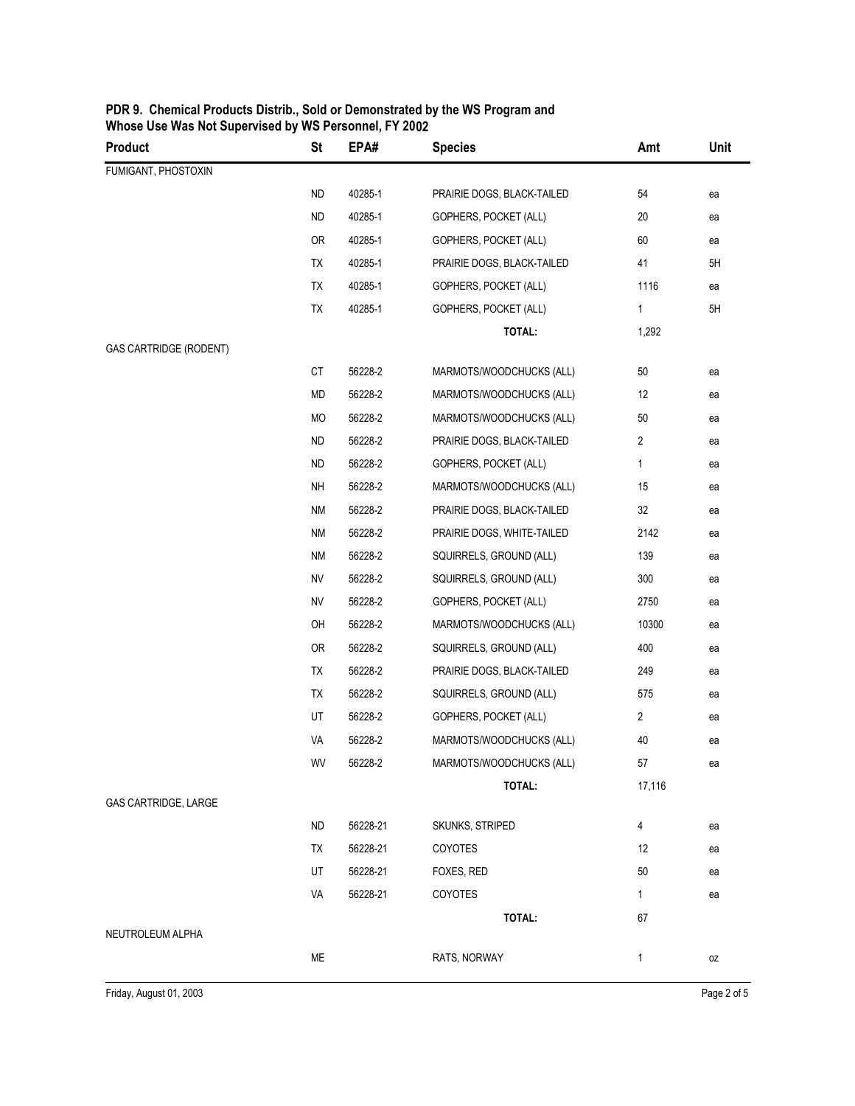| Product                       | <b>St</b> | EPA#     | <b>Species</b>             | Amt            | Unit |
|-------------------------------|-----------|----------|----------------------------|----------------|------|
| FUMIGANT, PHOSTOXIN           |           |          |                            |                |      |
|                               | <b>ND</b> | 40285-1  | PRAIRIE DOGS, BLACK-TAILED | 54             | ea   |
|                               | <b>ND</b> | 40285-1  | GOPHERS, POCKET (ALL)      | 20             | ea   |
|                               | 0R        | 40285-1  | GOPHERS, POCKET (ALL)      | 60             | ea   |
|                               | TX        | 40285-1  | PRAIRIE DOGS, BLACK-TAILED | 41             | 5H   |
|                               | TX        | 40285-1  | GOPHERS, POCKET (ALL)      | 1116           | ea   |
|                               | TX        | 40285-1  | GOPHERS, POCKET (ALL)      | 1              | 5H   |
|                               |           |          | TOTAL:                     | 1,292          |      |
| <b>GAS CARTRIDGE (RODENT)</b> |           |          |                            |                |      |
|                               | СT        | 56228-2  | MARMOTS/WOODCHUCKS (ALL)   | 50             | ea   |
|                               | MD        | 56228-2  | MARMOTS/WOODCHUCKS (ALL)   | 12             | ea   |
|                               | MO        | 56228-2  | MARMOTS/WOODCHUCKS (ALL)   | 50             | ea   |
|                               | <b>ND</b> | 56228-2  | PRAIRIE DOGS, BLACK-TAILED | $\overline{c}$ | ea   |
|                               | ND        | 56228-2  | GOPHERS, POCKET (ALL)      | 1              | ea   |
|                               | NH        | 56228-2  | MARMOTS/WOODCHUCKS (ALL)   | 15             | ea   |
|                               | <b>NM</b> | 56228-2  | PRAIRIE DOGS, BLACK-TAILED | 32             | ea   |
|                               | NM        | 56228-2  | PRAIRIE DOGS, WHITE-TAILED | 2142           | ea   |
|                               | NM        | 56228-2  | SQUIRRELS, GROUND (ALL)    | 139            | ea   |
|                               | <b>NV</b> | 56228-2  | SQUIRRELS, GROUND (ALL)    | 300            | ea   |
|                               | <b>NV</b> | 56228-2  | GOPHERS, POCKET (ALL)      | 2750           | ea   |
|                               | OH        | 56228-2  | MARMOTS/WOODCHUCKS (ALL)   | 10300          | ea   |
|                               | 0R        | 56228-2  | SQUIRRELS, GROUND (ALL)    | 400            | ea   |
|                               | TX        | 56228-2  | PRAIRIE DOGS, BLACK-TAILED | 249            | ea   |
|                               | TX        | 56228-2  | SQUIRRELS, GROUND (ALL)    | 575            | ea   |
|                               | UT        | 56228-2  | GOPHERS, POCKET (ALL)      | $\overline{2}$ | ea   |
|                               | VA        | 56228-2  | MARMOTS/WOODCHUCKS (ALL)   | 40             | ea   |
|                               | <b>WV</b> | 56228-2  | MARMOTS/WOODCHUCKS (ALL)   | 57             | ea   |
|                               |           |          | TOTAL:                     | 17,116         |      |
| GAS CARTRIDGE, LARGE          |           |          |                            |                |      |
|                               | <b>ND</b> | 56228-21 | SKUNKS, STRIPED            | $\overline{4}$ | ea   |
|                               | TX        | 56228-21 | COYOTES                    | 12             | ea   |
|                               | UT        | 56228-21 | FOXES, RED                 | 50             | ea   |
|                               | VA        | 56228-21 | COYOTES                    | 1              | ea   |
|                               |           |          | TOTAL:                     | 67             |      |
| NEUTROLEUM ALPHA              |           |          |                            |                |      |
|                               | ME        |          | RATS, NORWAY               | 1              | 0Z   |
|                               |           |          |                            |                |      |

Friday, August 01, 2003 Page 2 of 5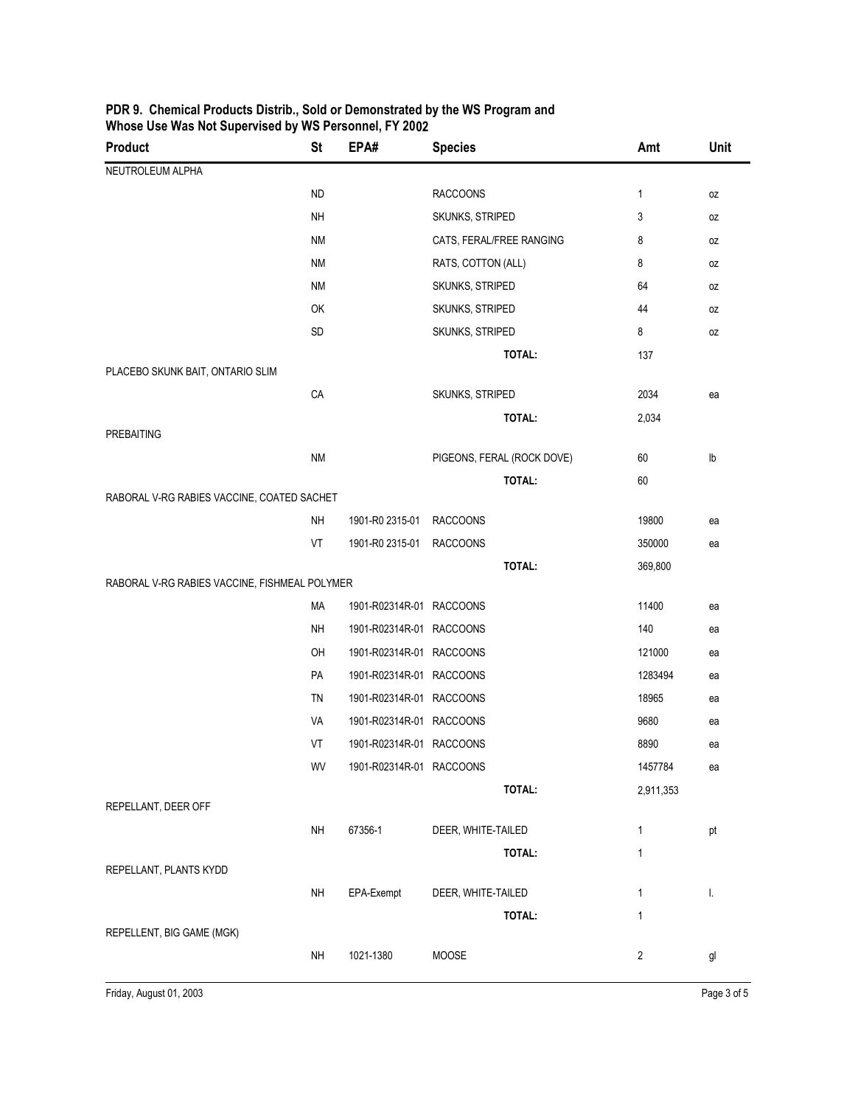| Product                                       | <b>St</b>       | EPA#                     | <b>Species</b>             | Amt            | Unit           |
|-----------------------------------------------|-----------------|--------------------------|----------------------------|----------------|----------------|
| NEUTROLEUM ALPHA                              |                 |                          |                            |                |                |
|                                               | <b>ND</b>       |                          | <b>RACCOONS</b>            | $\mathbf{1}$   | 0Z             |
|                                               | <b>NH</b>       |                          | SKUNKS, STRIPED            | 3              | 0Z             |
|                                               | <b>NM</b>       |                          | CATS, FERAL/FREE RANGING   | 8              | 0Z             |
|                                               | <b>NM</b>       |                          | RATS, COTTON (ALL)         | 8              | 0Z             |
|                                               | <b>NM</b>       |                          | SKUNKS, STRIPED            | 64             | 0Z             |
|                                               | OK              |                          | SKUNKS, STRIPED            | 44             | 0Z             |
|                                               | <b>SD</b>       |                          | SKUNKS, STRIPED            | 8              | 0Z             |
|                                               |                 |                          | TOTAL:                     | 137            |                |
| PLACEBO SKUNK BAIT, ONTARIO SLIM              |                 |                          |                            |                |                |
|                                               | CA              |                          | SKUNKS, STRIPED            | 2034           | ea             |
| <b>PREBAITING</b>                             |                 |                          | TOTAL:                     | 2,034          |                |
|                                               | <b>NM</b>       |                          | PIGEONS, FERAL (ROCK DOVE) | 60             | I <sub>b</sub> |
|                                               |                 |                          | TOTAL:                     | 60             |                |
| RABORAL V-RG RABIES VACCINE, COATED SACHET    |                 |                          |                            |                |                |
|                                               | <b>NH</b>       | 1901-R0 2315-01          | <b>RACCOONS</b>            | 19800          | ea             |
|                                               | VT              | 1901-R0 2315-01          | <b>RACCOONS</b>            | 350000         | ea             |
|                                               |                 |                          | TOTAL:                     | 369,800        |                |
| RABORAL V-RG RABIES VACCINE, FISHMEAL POLYMER |                 |                          |                            |                |                |
|                                               | МA              | 1901-R02314R-01 RACCOONS |                            | 11400          | ea             |
|                                               | NH              | 1901-R02314R-01 RACCOONS |                            | 140            | ea             |
|                                               | OH              | 1901-R02314R-01 RACCOONS |                            | 121000         | ea             |
|                                               | PA              | 1901-R02314R-01 RACCOONS |                            | 1283494        | ea             |
|                                               | TN              | 1901-R02314R-01 RACCOONS |                            | 18965          | ea             |
|                                               | VA              | 1901-R02314R-01 RACCOONS |                            | 9680           | ea             |
|                                               | VT              | 1901-R02314R-01 RACCOONS |                            | 8890           | ea             |
|                                               | WV              | 1901-R02314R-01 RACCOONS |                            | 1457784        | ea             |
|                                               |                 |                          | TOTAL:                     | 2,911,353      |                |
| REPELLANT, DEER OFF                           |                 |                          |                            |                |                |
|                                               | NH              | 67356-1                  | DEER, WHITE-TAILED         | 1              | pt             |
| REPELLANT, PLANTS KYDD                        |                 |                          | TOTAL:                     | $\mathbf{1}$   |                |
|                                               | $\mathsf{NH}\,$ | EPA-Exempt               | DEER, WHITE-TAILED         | 1              | I.             |
|                                               |                 |                          | TOTAL:                     | 1              |                |
| REPELLENT, BIG GAME (MGK)                     |                 |                          |                            |                |                |
|                                               | NH              | 1021-1380                | MOOSE                      | $\overline{2}$ | gl             |
|                                               |                 |                          |                            |                |                |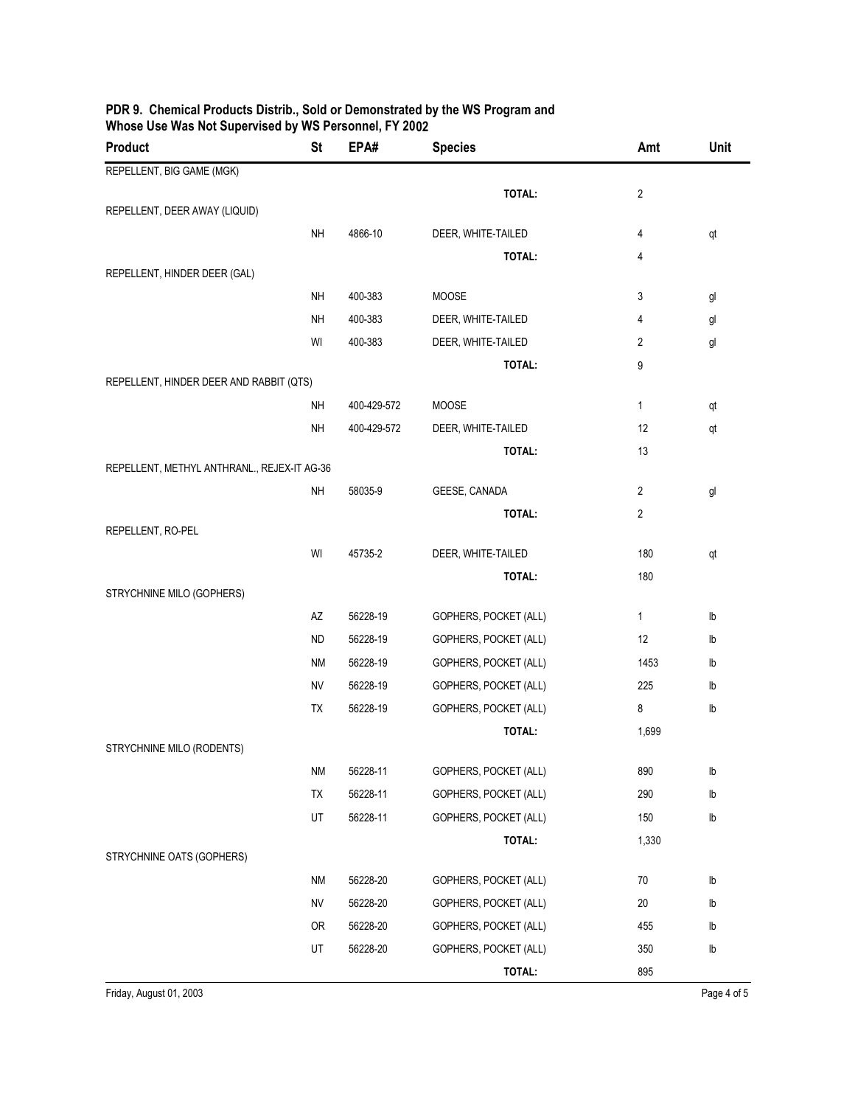| Product                                     | <b>St</b>       | EPA#        | <b>Species</b>        | Amt                     | Unit       |
|---------------------------------------------|-----------------|-------------|-----------------------|-------------------------|------------|
| REPELLENT, BIG GAME (MGK)                   |                 |             |                       |                         |            |
|                                             |                 |             | TOTAL:                | $\overline{\mathbf{c}}$ |            |
| REPELLENT, DEER AWAY (LIQUID)               |                 |             |                       |                         |            |
|                                             | $\mathsf{NH}\,$ | 4866-10     | DEER, WHITE-TAILED    | 4                       | qt         |
| REPELLENT, HINDER DEER (GAL)                |                 |             | TOTAL:                | 4                       |            |
|                                             | <b>NH</b>       | 400-383     | <b>MOOSE</b>          | 3                       | gl         |
|                                             | <b>NH</b>       | 400-383     | DEER, WHITE-TAILED    | 4                       | gl         |
|                                             | WI              | 400-383     | DEER, WHITE-TAILED    | $\overline{2}$          | gl         |
|                                             |                 |             | TOTAL:                | 9                       |            |
| REPELLENT, HINDER DEER AND RABBIT (QTS)     |                 |             |                       |                         |            |
|                                             | <b>NH</b>       | 400-429-572 | MOOSE                 | 1                       | qt         |
|                                             | <b>NH</b>       | 400-429-572 | DEER, WHITE-TAILED    | 12                      | qt         |
|                                             |                 |             | TOTAL:                | 13                      |            |
| REPELLENT, METHYL ANTHRANL., REJEX-IT AG-36 |                 |             |                       |                         |            |
|                                             | <b>NH</b>       | 58035-9     | GEESE, CANADA         | $\overline{2}$          | gl         |
|                                             |                 |             | TOTAL:                | 2                       |            |
| REPELLENT, RO-PEL                           |                 |             |                       |                         |            |
|                                             | WI              | 45735-2     | DEER, WHITE-TAILED    | 180                     | qt         |
| STRYCHNINE MILO (GOPHERS)                   |                 |             | TOTAL:                | 180                     |            |
|                                             | AZ              | 56228-19    | GOPHERS, POCKET (ALL) | 1                       | lb         |
|                                             | <b>ND</b>       | 56228-19    | GOPHERS, POCKET (ALL) | 12                      | lb         |
|                                             | <b>NM</b>       | 56228-19    | GOPHERS, POCKET (ALL) | 1453                    | lb         |
|                                             | <b>NV</b>       | 56228-19    | GOPHERS, POCKET (ALL) | 225                     | lb         |
|                                             | <b>TX</b>       | 56228-19    | GOPHERS, POCKET (ALL) | 8                       | lb         |
|                                             |                 |             | TOTAL:                | 1,699                   |            |
| STRYCHNINE MILO (RODENTS)                   |                 |             |                       |                         |            |
|                                             | NM              | 56228-11    | GOPHERS, POCKET (ALL) | 890                     | lb         |
|                                             | TX              | 56228-11    | GOPHERS, POCKET (ALL) | 290                     | lb         |
|                                             | UT              | 56228-11    | GOPHERS, POCKET (ALL) | 150                     | ${\sf lb}$ |
|                                             |                 |             | TOTAL:                | 1,330                   |            |
| STRYCHNINE OATS (GOPHERS)                   |                 |             |                       |                         |            |
|                                             | <b>NM</b>       | 56228-20    | GOPHERS, POCKET (ALL) | 70                      | lb         |
|                                             | <b>NV</b>       | 56228-20    | GOPHERS, POCKET (ALL) | 20                      | lb         |
|                                             | OR              | 56228-20    | GOPHERS, POCKET (ALL) | 455                     | lb         |
|                                             | UT              | 56228-20    | GOPHERS, POCKET (ALL) | 350                     | lb         |
|                                             |                 |             | TOTAL:                | 895                     |            |